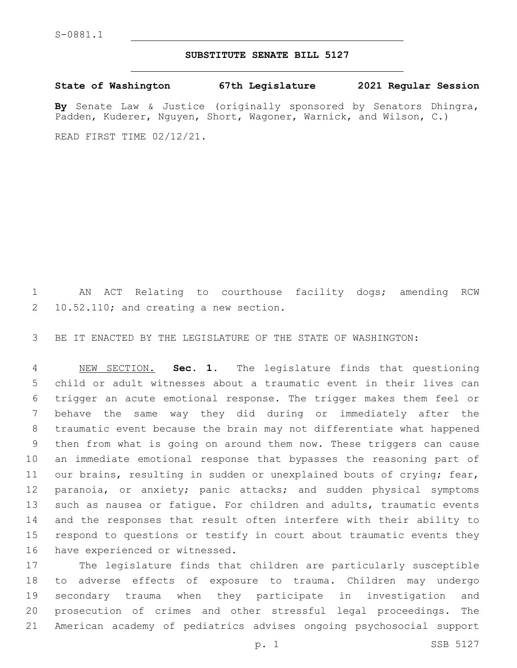## **SUBSTITUTE SENATE BILL 5127**

**State of Washington 67th Legislature 2021 Regular Session**

**By** Senate Law & Justice (originally sponsored by Senators Dhingra, Padden, Kuderer, Nguyen, Short, Wagoner, Warnick, and Wilson, C.)

READ FIRST TIME 02/12/21.

 AN ACT Relating to courthouse facility dogs; amending RCW 2 10.52.110; and creating a new section.

BE IT ENACTED BY THE LEGISLATURE OF THE STATE OF WASHINGTON:

 NEW SECTION. **Sec. 1.** The legislature finds that questioning child or adult witnesses about a traumatic event in their lives can trigger an acute emotional response. The trigger makes them feel or behave the same way they did during or immediately after the traumatic event because the brain may not differentiate what happened then from what is going on around them now. These triggers can cause an immediate emotional response that bypasses the reasoning part of 11 our brains, resulting in sudden or unexplained bouts of crying; fear, 12 paranoia, or anxiety; panic attacks; and sudden physical symptoms such as nausea or fatigue. For children and adults, traumatic events and the responses that result often interfere with their ability to respond to questions or testify in court about traumatic events they 16 have experienced or witnessed.

 The legislature finds that children are particularly susceptible to adverse effects of exposure to trauma. Children may undergo secondary trauma when they participate in investigation and prosecution of crimes and other stressful legal proceedings. The American academy of pediatrics advises ongoing psychosocial support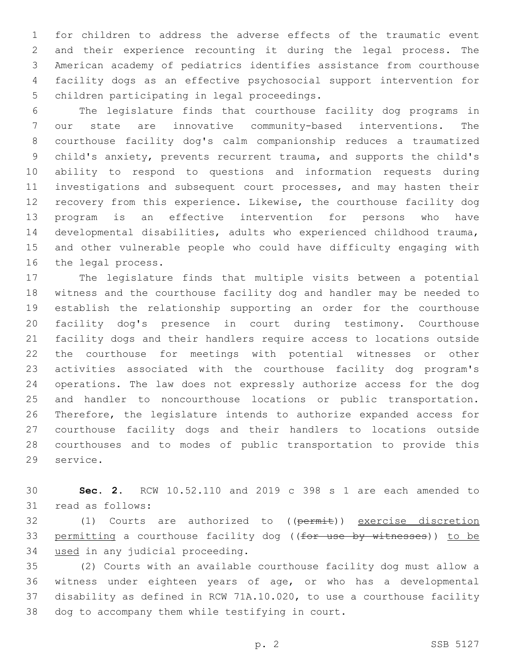for children to address the adverse effects of the traumatic event and their experience recounting it during the legal process. The American academy of pediatrics identifies assistance from courthouse facility dogs as an effective psychosocial support intervention for 5 children participating in legal proceedings.

 The legislature finds that courthouse facility dog programs in our state are innovative community-based interventions. The courthouse facility dog's calm companionship reduces a traumatized child's anxiety, prevents recurrent trauma, and supports the child's ability to respond to questions and information requests during investigations and subsequent court processes, and may hasten their recovery from this experience. Likewise, the courthouse facility dog program is an effective intervention for persons who have developmental disabilities, adults who experienced childhood trauma, and other vulnerable people who could have difficulty engaging with 16 the legal process.

 The legislature finds that multiple visits between a potential witness and the courthouse facility dog and handler may be needed to establish the relationship supporting an order for the courthouse facility dog's presence in court during testimony. Courthouse facility dogs and their handlers require access to locations outside the courthouse for meetings with potential witnesses or other activities associated with the courthouse facility dog program's operations. The law does not expressly authorize access for the dog and handler to noncourthouse locations or public transportation. Therefore, the legislature intends to authorize expanded access for courthouse facility dogs and their handlers to locations outside courthouses and to modes of public transportation to provide this 29 service.

 **Sec. 2.** RCW 10.52.110 and 2019 c 398 s 1 are each amended to 31 read as follows:

32 (1) Courts are authorized to ((permit)) exercise discretion 33 permitting a courthouse facility dog ((for use by witnesses)) to be 34 used in any judicial proceeding.

 (2) Courts with an available courthouse facility dog must allow a witness under eighteen years of age, or who has a developmental disability as defined in RCW 71A.10.020, to use a courthouse facility 38 dog to accompany them while testifying in court.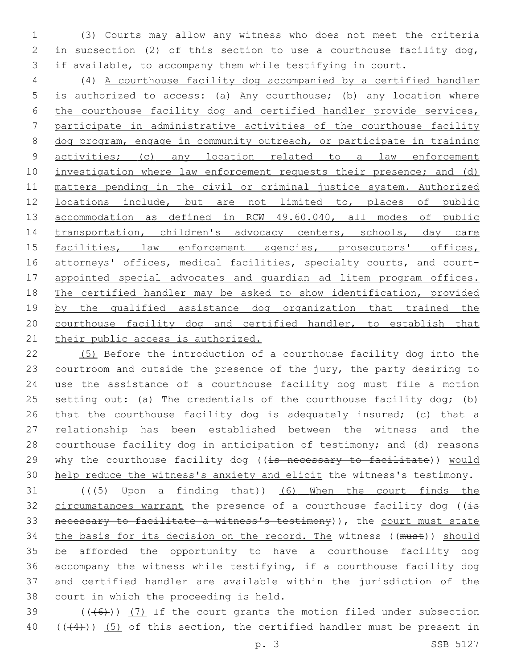(3) Courts may allow any witness who does not meet the criteria in subsection (2) of this section to use a courthouse facility dog, if available, to accompany them while testifying in court.

 (4) A courthouse facility dog accompanied by a certified handler is authorized to access: (a) Any courthouse; (b) any location where the courthouse facility dog and certified handler provide services, participate in administrative activities of the courthouse facility dog program, engage in community outreach, or participate in training activities; (c) any location related to a law enforcement 10 investigation where law enforcement requests their presence; and (d) matters pending in the civil or criminal justice system. Authorized locations include, but are not limited to, places of public accommodation as defined in RCW 49.60.040, all modes of public transportation, children's advocacy centers, schools, day care 15 facilities, law enforcement agencies, prosecutors' offices, 16 attorneys' offices, medical facilities, specialty courts, and court- appointed special advocates and guardian ad litem program offices. The certified handler may be asked to show identification, provided 19 by the qualified assistance dog organization that trained the courthouse facility dog and certified handler, to establish that 21 their public access is authorized.

 (5) Before the introduction of a courthouse facility dog into the courtroom and outside the presence of the jury, the party desiring to use the assistance of a courthouse facility dog must file a motion 25 setting out: (a) The credentials of the courthouse facility dog; (b) that the courthouse facility dog is adequately insured; (c) that a relationship has been established between the witness and the courthouse facility dog in anticipation of testimony; and (d) reasons 29 why the courthouse facility dog ((is necessary to facilitate)) would help reduce the witness's anxiety and elicit the witness's testimony.

 (( $(5)$  Upon a finding that)) (6) When the court finds the 32 circumstances warrant the presence of a courthouse facility dog ( $i$ s necessary to facilitate a witness's testimony)), the court must state 34 the basis for its decision on the record. The witness ((must)) should be afforded the opportunity to have a courthouse facility dog accompany the witness while testifying, if a courthouse facility dog and certified handler are available within the jurisdiction of the 38 court in which the proceeding is held.

39  $((+6)$ )  $(7)$  If the court grants the motion filed under subsection 40  $((+4))$   $(5)$  of this section, the certified handler must be present in

p. 3 SSB 5127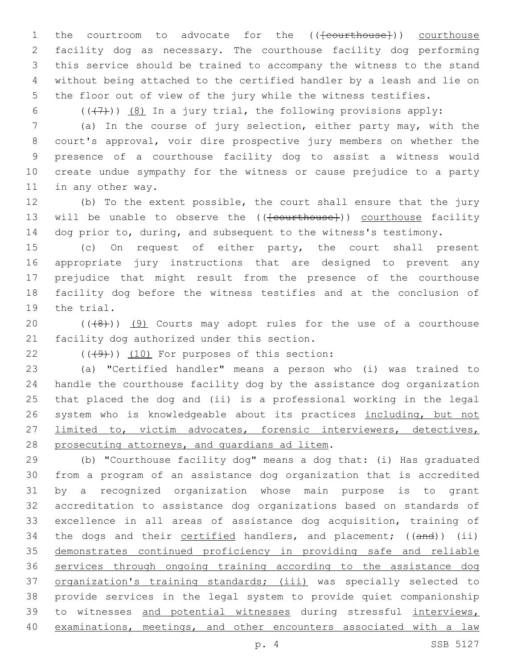1 the courtroom to advocate for the ((<del>[courthouse]</del>)) courthouse facility dog as necessary. The courthouse facility dog performing this service should be trained to accompany the witness to the stand without being attached to the certified handler by a leash and lie on the floor out of view of the jury while the witness testifies.

6  $((+7)$ )  $(8)$  In a jury trial, the following provisions apply:

 (a) In the course of jury selection, either party may, with the court's approval, voir dire prospective jury members on whether the presence of a courthouse facility dog to assist a witness would create undue sympathy for the witness or cause prejudice to a party 11 in any other way.

 (b) To the extent possible, the court shall ensure that the jury 13 will be unable to observe the ((<del>[courthouse]</del>)) courthouse facility 14 dog prior to, during, and subsequent to the witness's testimony.

 (c) On request of either party, the court shall present appropriate jury instructions that are designed to prevent any prejudice that might result from the presence of the courthouse facility dog before the witness testifies and at the conclusion of 19 the trial.

20  $((+8+))$   $(9)$  Courts may adopt rules for the use of a courthouse 21 facility dog authorized under this section.

 $(10)$  (((49))) (10) For purposes of this section:

 (a) "Certified handler" means a person who (i) was trained to handle the courthouse facility dog by the assistance dog organization that placed the dog and (ii) is a professional working in the legal 26 system who is knowledgeable about its practices including, but not limited to, victim advocates, forensic interviewers, detectives, 28 prosecuting attorneys, and quardians ad litem.

 (b) "Courthouse facility dog" means a dog that: (i) Has graduated from a program of an assistance dog organization that is accredited by a recognized organization whose main purpose is to grant accreditation to assistance dog organizations based on standards of excellence in all areas of assistance dog acquisition, training of 34 the dogs and their certified handlers, and placement; ((and)) (ii) demonstrates continued proficiency in providing safe and reliable services through ongoing training according to the assistance dog organization's training standards; (iii) was specially selected to provide services in the legal system to provide quiet companionship 39 to witnesses and potential witnesses during stressful interviews, examinations, meetings, and other encounters associated with a law